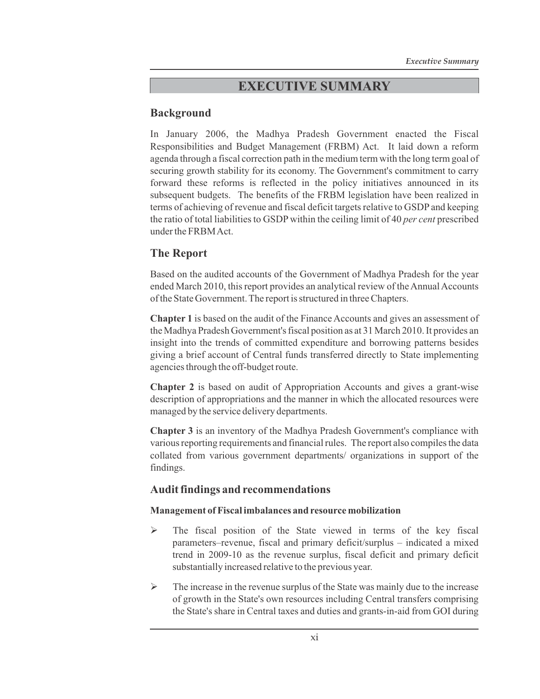# **EXECUTIVE SUMMARY**

## **Background**

In January 2006, the Madhya Pradesh Government enacted the Fiscal Responsibilities and Budget Management (FRBM) Act. It laid down a reform agenda through a fiscal correction path in the medium term with the long term goal of securing growth stability for its economy. The Government's commitment to carry forward these reforms is reflected in the policy initiatives announced in its subsequent budgets. The benefits of the FRBM legislation have been realized in terms of achieving of revenue and fiscal deficit targets relative to GSDP and keeping the ratio of total liabilities to GSDP within the ceiling limit of 40 *per cent* prescribed under the FRBM Act.

## **The Report**

Based on the audited accounts of the Government of Madhya Pradesh for the year ended March 2010, this report provides an analytical review of the Annual Accounts of the State Government. The report is structured in three Chapters.

**Chapter 1** is based on the audit of the Finance Accounts and gives an assessment of the Madhya Pradesh Government's fiscal position as at 31 March 2010. It provides an insight into the trends of committed expenditure and borrowing patterns besides giving a brief account of Central funds transferred directly to State implementing agencies through the off-budget route.

**Chapter 2** is based on audit of Appropriation Accounts and gives a grant-wise description of appropriations and the manner in which the allocated resources were managed by the service delivery departments.

**Chapter 3** is an inventory of the Madhya Pradesh Government's compliance with various reporting requirements and financial rules. The report also compiles the data collated from various government departments/ organizations in support of the findings.

## **Audit findings and recommendations**

#### **Management of Fiscal imbalances and resource mobilization**

- $\triangleright$  The fiscal position of the State viewed in terms of the key fiscal parameters–revenue, fiscal and primary deficit/surplus – indicated a mixed trend in 2009-10 as the revenue surplus, fiscal deficit and primary deficit substantially increased relative to the previous year.
- $\triangleright$  The increase in the revenue surplus of the State was mainly due to the increase of growth in the State's own resources including Central transfers comprising the State's share in Central taxes and duties and grants-in-aid from GOI during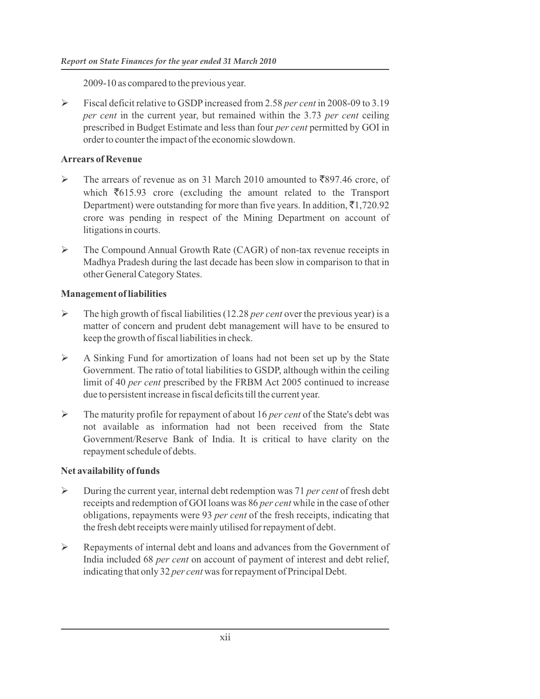2009-10 as compared to the previous year.

 $\triangleright$  Fiscal deficit relative to GSDP increased from 2.58 per cent in 2008-09 to 3.19 *per cent* in the current year, but remained within the 3.73 *per cent* ceiling prescribed in Budget Estimate and less than four *per cent* permitted by GOI in order to counter the impact of the economic slowdown.

## **Arrears of Revenue**

- $\triangleright$  The arrears of revenue as on 31 March 2010 amounted to  $\overline{8}897.46$  crore, of which  $\bar{z}615.93$  crore (excluding the amount related to the Transport Department) were outstanding for more than five years. In addition,  $\bar{\tau}$ 1,720.92 crore was pending in respect of the Mining Department on account of litigations in courts.
- $\triangleright$  The Compound Annual Growth Rate (CAGR) of non-tax revenue receipts in Madhya Pradesh during the last decade has been slow in comparison to that in other General Category States.

#### **Management of liabilities**

- $\triangleright$  The high growth of fiscal liabilities (12.28 *per cent* over the previous year) is a matter of concern and prudent debt management will have to be ensured to keep the growth of fiscal liabilities in check.
- $\triangleright$  A Sinking Fund for amortization of loans had not been set up by the State Government. The ratio of total liabilities to GSDP, although within the ceiling limit of 40 *per cent* prescribed by the FRBM Act 2005 continued to increase due to persistent increase in fiscal deficits till the current year.
- Ø The maturity profile for repayment of about 16 *per cent* of the State's debt was not available as information had not been received from the State Government/Reserve Bank of India. It is critical to have clarity on the repayment schedule of debts.

## **Net availability of funds**

- Ø During the current year, internal debt redemption was 71 *per cent* of fresh debt receipts and redemption of GOI loans was 86 *per cent* while in the case of other obligations, repayments were 93 *per cent* of the fresh receipts, indicating that the fresh debt receipts were mainly utilised for repayment of debt.
- $\triangleright$  Repayments of internal debt and loans and advances from the Government of India included 68 *per cent* on account of payment of interest and debt relief, indicating that only 32 *per cent* was for repayment of Principal Debt.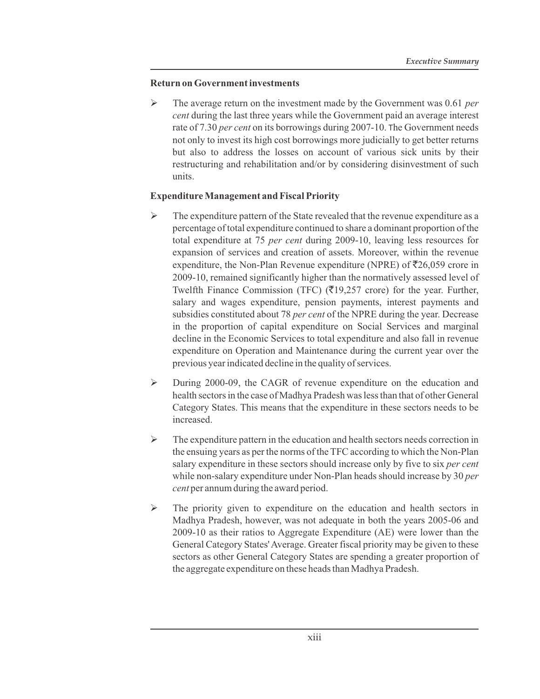## **Return on Government investments**

Ø *cent* during the last three years while the Government paid an average interest rate of 7.30 *per cent* on its borrowings during 2007-10. The Government needs not only to invest its high cost borrowings more judicially to get better returns but also to address the losses on account of various sick units by their restructuring and rehabilitation and/or by considering disinvestment of such units. The average return on the investment made by the Government was 0.61 *per* 

## **Expenditure Management and Fiscal Priority**

- $\triangleright$  The expenditure pattern of the State revealed that the revenue expenditure as a percentage of total expenditure continued to share a dominant proportion of the total expenditure at 75 *per cent* during 2009-10, leaving less resources for expansion of services and creation of assets. Moreover, within the revenue expenditure, the Non-Plan Revenue expenditure (NPRE) of  $\overline{5}26,059$  crore in 2009-10, remained significantly higher than the normatively assessed level of Twelfth Finance Commission (TFC)  $(319,257)$  crore) for the year. Further, salary and wages expenditure, pension payments, interest payments and subsidies constituted about 78 *per cent* of the NPRE during the year. Decrease in the proportion of capital expenditure on Social Services and marginal decline in the Economic Services to total expenditure and also fall in revenue expenditure on Operation and Maintenance during the current year over the previous year indicated decline in the quality of services.
- Ø During 2000-09, the CAGR of revenue expenditure on the education and health sectors in the case of Madhya Pradesh was less than that of other General Category States. This means that the expenditure in these sectors needs to be increased.
- $\triangleright$  The expenditure pattern in the education and health sectors needs correction in the ensuing years as per the norms of the TFC according to which the Non-Plan salary expenditure in these sectors should increase only by five to six *per cent* while non-salary expenditure under Non-Plan heads should increase by 30 *per cent* per annum during the award period.
- $\triangleright$  The priority given to expenditure on the education and health sectors in Madhya Pradesh, however, was not adequate in both the years 2005-06 and 2009-10 as their ratios to Aggregate Expenditure (AE) were lower than the General Category States' Average. Greater fiscal priority may be given to these sectors as other General Category States are spending a greater proportion of the aggregate expenditure on these heads than Madhya Pradesh.